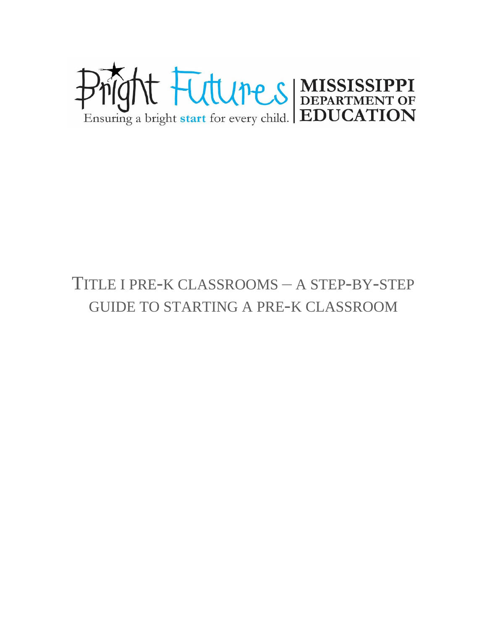

# TITLE I PRE-K CLASSROOMS – A STEP-BY-STEP GUIDE TO STARTING A PRE-K CLASSROOM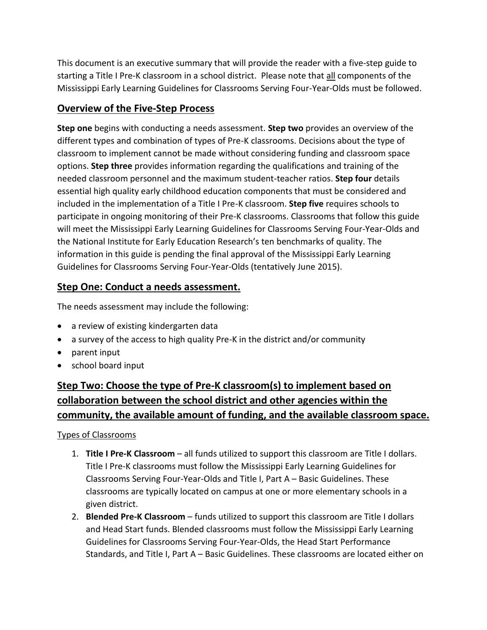This document is an executive summary that will provide the reader with a five-step guide to starting a Title I Pre-K classroom in a school district. Please note that all components of the Mississippi Early Learning Guidelines for Classrooms Serving Four-Year-Olds must be followed.

## **Overview of the Five-Step Process**

**Step one** begins with conducting a needs assessment. **Step two** provides an overview of the different types and combination of types of Pre-K classrooms. Decisions about the type of classroom to implement cannot be made without considering funding and classroom space options. **Step three** provides information regarding the qualifications and training of the needed classroom personnel and the maximum student-teacher ratios. **Step four** details essential high quality early childhood education components that must be considered and included in the implementation of a Title I Pre-K classroom. **Step five** requires schools to participate in ongoing monitoring of their Pre-K classrooms. Classrooms that follow this guide will meet the Mississippi Early Learning Guidelines for Classrooms Serving Four-Year-Olds and the National Institute for Early Education Research's ten benchmarks of quality. The information in this guide is pending the final approval of the Mississippi Early Learning Guidelines for Classrooms Serving Four-Year-Olds (tentatively June 2015).

## **Step One: Conduct a needs assessment.**

The needs assessment may include the following:

- a review of existing kindergarten data
- a survey of the access to high quality Pre-K in the district and/or community
- parent input
- school board input

# **Step Two: Choose the type of Pre-K classroom(s) to implement based on collaboration between the school district and other agencies within the community, the available amount of funding, and the available classroom space.**

Types of Classrooms

- 1. **Title I Pre-K Classroom** all funds utilized to support this classroom are Title I dollars. Title I Pre-K classrooms must follow the Mississippi Early Learning Guidelines for Classrooms Serving Four-Year-Olds and Title I, Part A – Basic Guidelines. These classrooms are typically located on campus at one or more elementary schools in a given district.
- 2. **Blended Pre-K Classroom** funds utilized to support this classroom are Title I dollars and Head Start funds. Blended classrooms must follow the Mississippi Early Learning Guidelines for Classrooms Serving Four-Year-Olds, the Head Start Performance Standards, and Title I, Part A – Basic Guidelines. These classrooms are located either on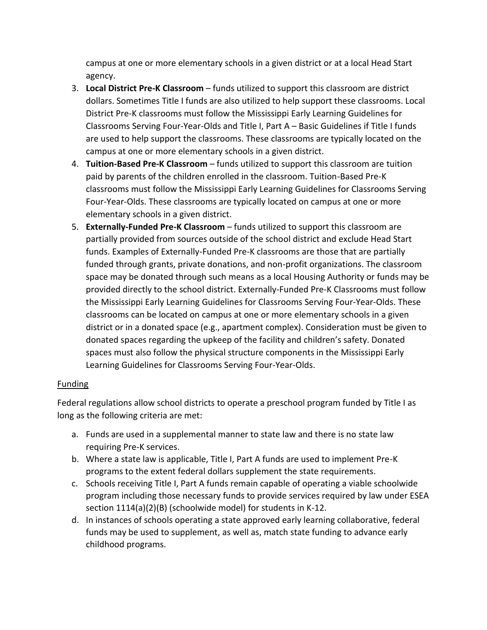campus at one or more elementary schools in a given district or at a local Head Start agency.

- 3. **Local District Pre-K Classroom** funds utilized to support this classroom are district dollars. Sometimes Title I funds are also utilized to help support these classrooms. Local District Pre-K classrooms must follow the Mississippi Early Learning Guidelines for Classrooms Serving Four-Year-Olds and Title I, Part A – Basic Guidelines if Title I funds are used to help support the classrooms. These classrooms are typically located on the campus at one or more elementary schools in a given district.
- 4. **Tuition-Based Pre-K Classroom** funds utilized to support this classroom are tuition paid by parents of the children enrolled in the classroom. Tuition-Based Pre-K classrooms must follow the Mississippi Early Learning Guidelines for Classrooms Serving Four-Year-Olds. These classrooms are typically located on campus at one or more elementary schools in a given district.
- 5. **Externally-Funded Pre-K Classroom** funds utilized to support this classroom are partially provided from sources outside of the school district and exclude Head Start funds. Examples of Externally-Funded Pre-K classrooms are those that are partially funded through grants, private donations, and non-profit organizations. The classroom space may be donated through such means as a local Housing Authority or funds may be provided directly to the school district. Externally-Funded Pre-K Classrooms must follow the Mississippi Early Learning Guidelines for Classrooms Serving Four-Year-Olds. These classrooms can be located on campus at one or more elementary schools in a given district or in a donated space (e.g., apartment complex). Consideration must be given to donated spaces regarding the upkeep of the facility and children's safety. Donated spaces must also follow the physical structure components in the Mississippi Early Learning Guidelines for Classrooms Serving Four-Year-Olds.

### Funding

Federal regulations allow school districts to operate a preschool program funded by Title I as long as the following criteria are met:

- a. Funds are used in a supplemental manner to state law and there is no state law requiring Pre-K services.
- b. Where a state law is applicable, Title I, Part A funds are used to implement Pre-K programs to the extent federal dollars supplement the state requirements.
- c. Schools receiving Title I, Part A funds remain capable of operating a viable schoolwide program including those necessary funds to provide services required by law under ESEA section 1114(a)(2)(B) (schoolwide model) for students in K-12.
- d. In instances of schools operating a state approved early learning collaborative, federal funds may be used to supplement, as well as, match state funding to advance early childhood programs.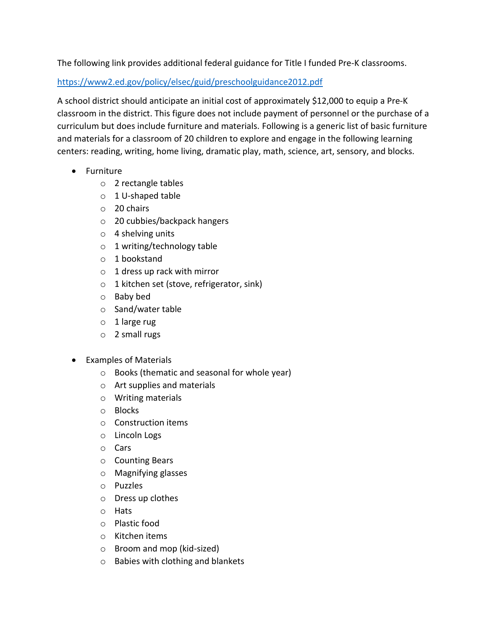The following link provides additional federal guidance for Title I funded Pre-K classrooms.

<https://www2.ed.gov/policy/elsec/guid/preschoolguidance2012.pdf>

A school district should anticipate an initial cost of approximately \$12,000 to equip a Pre-K classroom in the district. This figure does not include payment of personnel or the purchase of a curriculum but does include furniture and materials. Following is a generic list of basic furniture and materials for a classroom of 20 children to explore and engage in the following learning centers: reading, writing, home living, dramatic play, math, science, art, sensory, and blocks.

- Furniture
	- o 2 rectangle tables
	- o 1 U-shaped table
	- o 20 chairs
	- o 20 cubbies/backpack hangers
	- o 4 shelving units
	- o 1 writing/technology table
	- o 1 bookstand
	- o 1 dress up rack with mirror
	- o 1 kitchen set (stove, refrigerator, sink)
	- o Baby bed
	- o Sand/water table
	- $\circ$  1 large rug
	- o 2 small rugs
- Examples of Materials
	- o Books (thematic and seasonal for whole year)
	- o Art supplies and materials
	- o Writing materials
	- o Blocks
	- o Construction items
	- o Lincoln Logs
	- o Cars
	- o Counting Bears
	- o Magnifying glasses
	- o Puzzles
	- o Dress up clothes
	- o Hats
	- o Plastic food
	- o Kitchen items
	- o Broom and mop (kid-sized)
	- o Babies with clothing and blankets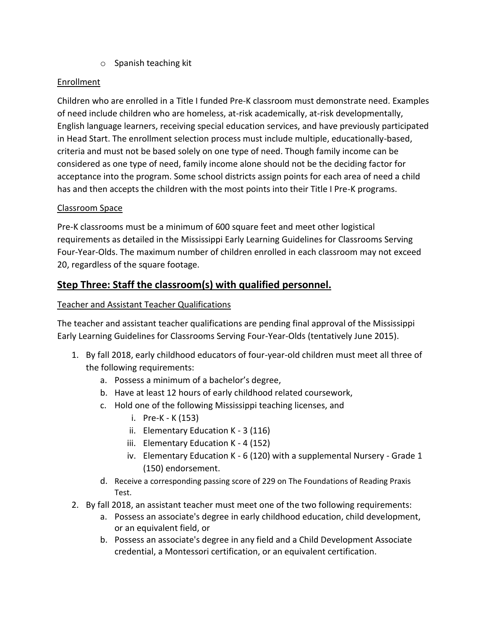o Spanish teaching kit

### Enrollment

Children who are enrolled in a Title I funded Pre-K classroom must demonstrate need. Examples of need include children who are homeless, at-risk academically, at-risk developmentally, English language learners, receiving special education services, and have previously participated in Head Start. The enrollment selection process must include multiple, educationally-based, criteria and must not be based solely on one type of need. Though family income can be considered as one type of need, family income alone should not be the deciding factor for acceptance into the program. Some school districts assign points for each area of need a child has and then accepts the children with the most points into their Title I Pre-K programs.

### Classroom Space

Pre-K classrooms must be a minimum of 600 square feet and meet other logistical requirements as detailed in the Mississippi Early Learning Guidelines for Classrooms Serving Four-Year-Olds. The maximum number of children enrolled in each classroom may not exceed 20, regardless of the square footage.

# **Step Three: Staff the classroom(s) with qualified personnel.**

### Teacher and Assistant Teacher Qualifications

The teacher and assistant teacher qualifications are pending final approval of the Mississippi Early Learning Guidelines for Classrooms Serving Four-Year-Olds (tentatively June 2015).

- 1. By fall 2018, early childhood educators of four-year-old children must meet all three of the following requirements:
	- a. Possess a minimum of a bachelor's degree,
	- b. Have at least 12 hours of early childhood related coursework,
	- c. Hold one of the following Mississippi teaching licenses, and
		- i. Pre-K K (153)
		- ii. Elementary Education K 3 (116)
		- iii. Elementary Education K 4 (152)
		- iv. Elementary Education K 6 (120) with a supplemental Nursery Grade 1 (150) endorsement.
	- d. Receive a corresponding passing score of 229 on The Foundations of Reading Praxis Test.
- 2. By fall 2018, an assistant teacher must meet one of the two following requirements:
	- a. Possess an associate's degree in early childhood education, child development, or an equivalent field, or
	- b. Possess an associate's degree in any field and a Child Development Associate credential, a Montessori certification, or an equivalent certification.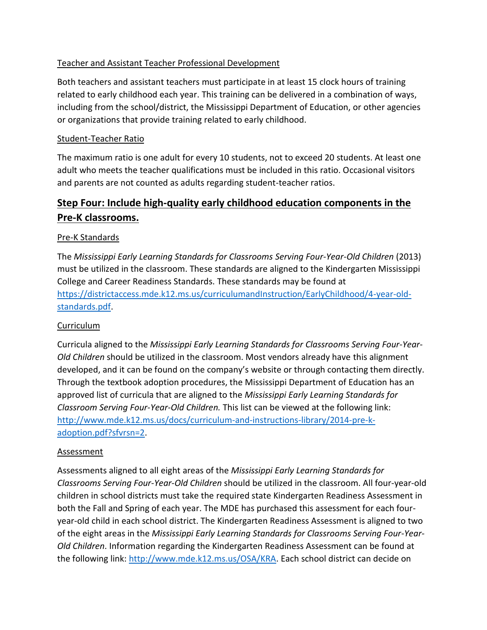### Teacher and Assistant Teacher Professional Development

Both teachers and assistant teachers must participate in at least 15 clock hours of training related to early childhood each year. This training can be delivered in a combination of ways, including from the school/district, the Mississippi Department of Education, or other agencies or organizations that provide training related to early childhood.

### Student-Teacher Ratio

The maximum ratio is one adult for every 10 students, not to exceed 20 students. At least one adult who meets the teacher qualifications must be included in this ratio. Occasional visitors and parents are not counted as adults regarding student-teacher ratios.

# **Step Four: Include high-quality early childhood education components in the Pre-K classrooms.**

### Pre-K Standards

The *Mississippi Early Learning Standards for Classrooms Serving Four-Year-Old Children* (2013) must be utilized in the classroom. These standards are aligned to the Kindergarten Mississippi College and Career Readiness Standards. These standards may be found at [https://districtaccess.mde.k12.ms.us/curriculumandInstruction/EarlyChildhood/4-year-old](https://districtaccess.mde.k12.ms.us/curriculumandInstruction/EarlyChildhood/4-year-old-standards.pdf)[standards.pdf.](https://districtaccess.mde.k12.ms.us/curriculumandInstruction/EarlyChildhood/4-year-old-standards.pdf)

### Curriculum

Curricula aligned to the *Mississippi Early Learning Standards for Classrooms Serving Four-Year-Old Children* should be utilized in the classroom. Most vendors already have this alignment developed, and it can be found on the company's website or through contacting them directly. Through the textbook adoption procedures, the Mississippi Department of Education has an approved list of curricula that are aligned to the *Mississippi Early Learning Standards for Classroom Serving Four-Year-Old Children.* This list can be viewed at the following link: [http://www.mde.k12.ms.us/docs/curriculum-and-instructions-library/2014-pre-k](http://www.mde.k12.ms.us/docs/curriculum-and-instructions-library/2014-pre-k-adoption.pdf?sfvrsn=2)[adoption.pdf?sfvrsn=2.](http://www.mde.k12.ms.us/docs/curriculum-and-instructions-library/2014-pre-k-adoption.pdf?sfvrsn=2)

### **Assessment**

Assessments aligned to all eight areas of the *Mississippi Early Learning Standards for Classrooms Serving Four-Year-Old Children* should be utilized in the classroom. All four-year-old children in school districts must take the required state Kindergarten Readiness Assessment in both the Fall and Spring of each year. The MDE has purchased this assessment for each fouryear-old child in each school district. The Kindergarten Readiness Assessment is aligned to two of the eight areas in the *Mississippi Early Learning Standards for Classrooms Serving Four-Year-Old Children*. Information regarding the Kindergarten Readiness Assessment can be found at the following link: [http://www.mde.k12.ms.us/OSA/KRA.](http://www.mde.k12.ms.us/OSA/KRA) Each school district can decide on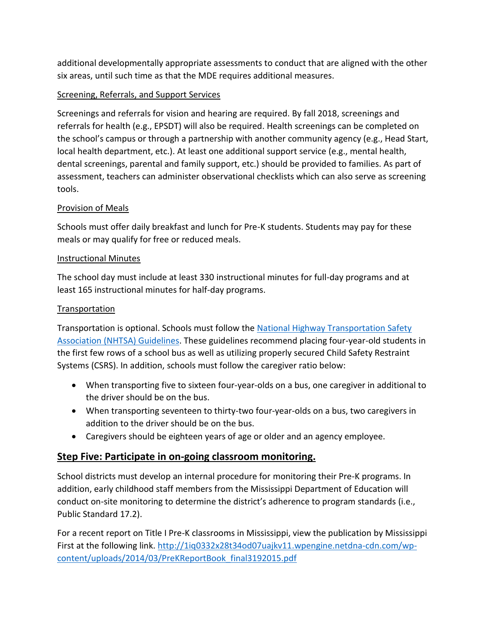additional developmentally appropriate assessments to conduct that are aligned with the other six areas, until such time as that the MDE requires additional measures.

### Screening, Referrals, and Support Services

Screenings and referrals for vision and hearing are required. By fall 2018, screenings and referrals for health (e.g., EPSDT) will also be required. Health screenings can be completed on the school's campus or through a partnership with another community agency (e.g., Head Start, local health department, etc.). At least one additional support service (e.g., mental health, dental screenings, parental and family support, etc.) should be provided to families. As part of assessment, teachers can administer observational checklists which can also serve as screening tools.

### Provision of Meals

Schools must offer daily breakfast and lunch for Pre-K students. Students may pay for these meals or may qualify for free or reduced meals.

### Instructional Minutes

The school day must include at least 330 instructional minutes for full-day programs and at least 165 instructional minutes for half-day programs.

### **Transportation**

Transportation is optional. Schools must follow the [National Highway Transportation Safety](http://www.nhtsa.gov/About+NHTSA/Press+Releases/U.S.+DOT+Releases+Guidelines+to+Minimize+In-Vehicle+Distractions)  [Association \(NHTSA\) Guidelines.](http://www.nhtsa.gov/About+NHTSA/Press+Releases/U.S.+DOT+Releases+Guidelines+to+Minimize+In-Vehicle+Distractions) These guidelines recommend placing four-year-old students in the first few rows of a school bus as well as utilizing properly secured Child Safety Restraint Systems (CSRS). In addition, schools must follow the caregiver ratio below:

- When transporting five to sixteen four-year-olds on a bus, one caregiver in additional to the driver should be on the bus.
- When transporting seventeen to thirty-two four-year-olds on a bus, two caregivers in addition to the driver should be on the bus.
- Caregivers should be eighteen years of age or older and an agency employee.

### **Step Five: Participate in on-going classroom monitoring.**

School districts must develop an internal procedure for monitoring their Pre-K programs. In addition, early childhood staff members from the Mississippi Department of Education will conduct on-site monitoring to determine the district's adherence to program standards (i.e., Public Standard 17.2).

For a recent report on Title I Pre-K classrooms in Mississippi, view the publication by Mississippi First at the following link. [http://1iq0332x28t34od07uajkv11.wpengine.netdna-cdn.com/wp](http://1iq0332x28t34od07uajkv11.wpengine.netdna-cdn.com/wp-content/uploads/2014/03/PreKReportBook_final3192015.pdf)[content/uploads/2014/03/PreKReportBook\\_final3192015.pdf](http://1iq0332x28t34od07uajkv11.wpengine.netdna-cdn.com/wp-content/uploads/2014/03/PreKReportBook_final3192015.pdf)